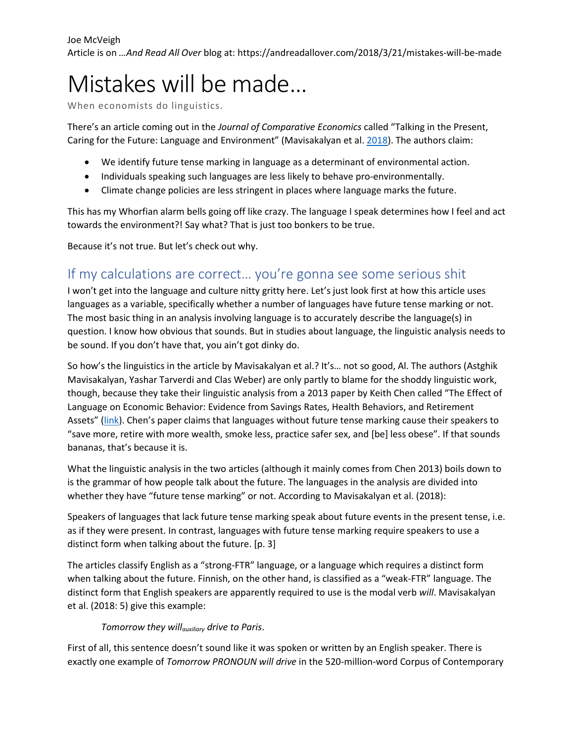# Mistakes will be made…

When economists do linguistics.

There's an article coming out in the *Journal of Comparative Economics* called "Talking in the Present, Caring for the Future: Language and Environment" (Mavisakalyan et al. [2018\)](http://www.dx.doi.org/10.1016/j.jce.2018.01.003). The authors claim:

- We identify future tense marking in language as a determinant of environmental action.
- Individuals speaking such languages are less likely to behave pro-environmentally.
- Climate change policies are less stringent in places where language marks the future.

This has my Whorfian alarm bells going off like crazy. The language I speak determines how I feel and act towards the environment?! Say what? That is just too bonkers to be true.

Because it's not true. But let's check out why.

## If my calculations are correct… you're gonna see some serious shit

I won't get into the language and culture nitty gritty here. Let's just look first at how this article uses languages as a variable, specifically whether a number of languages have future tense marking or not. The most basic thing in an analysis involving language is to accurately describe the language(s) in question. I know how obvious that sounds. But in studies about language, the linguistic analysis needs to be sound. If you don't have that, you ain't got dinky do.

So how's the linguistics in the article by Mavisakalyan et al.? It's… not so good, Al. The authors (Astghik Mavisakalyan, Yashar Tarverdi and Clas Weber) are only partly to blame for the shoddy linguistic work, though, because they take their linguistic analysis from a 2013 paper by Keith Chen called "The Effect of Language on Economic Behavior: Evidence from Savings Rates, Health Behaviors, and Retirement Assets" ([link](http://www.jstor.org/stable/23469680)). Chen's paper claims that languages without future tense marking cause their speakers to "save more, retire with more wealth, smoke less, practice safer sex, and [be] less obese". If that sounds bananas, that's because it is.

What the linguistic analysis in the two articles (although it mainly comes from Chen 2013) boils down to is the grammar of how people talk about the future. The languages in the analysis are divided into whether they have "future tense marking" or not. According to Mavisakalyan et al. (2018):

Speakers of languages that lack future tense marking speak about future events in the present tense, i.e. as if they were present. In contrast, languages with future tense marking require speakers to use a distinct form when talking about the future. [p. 3]

The articles classify English as a "strong-FTR" language, or a language which requires a distinct form when talking about the future. Finnish, on the other hand, is classified as a "weak-FTR" language. The distinct form that English speakers are apparently required to use is the modal verb *will*. Mavisakalyan et al. (2018: 5) give this example:

#### *Tomorrow they willauxiliary drive to Paris*.

First of all, this sentence doesn't sound like it was spoken or written by an English speaker. There is exactly one example of *Tomorrow PRONOUN will drive* in the 520-million-word Corpus of Contemporary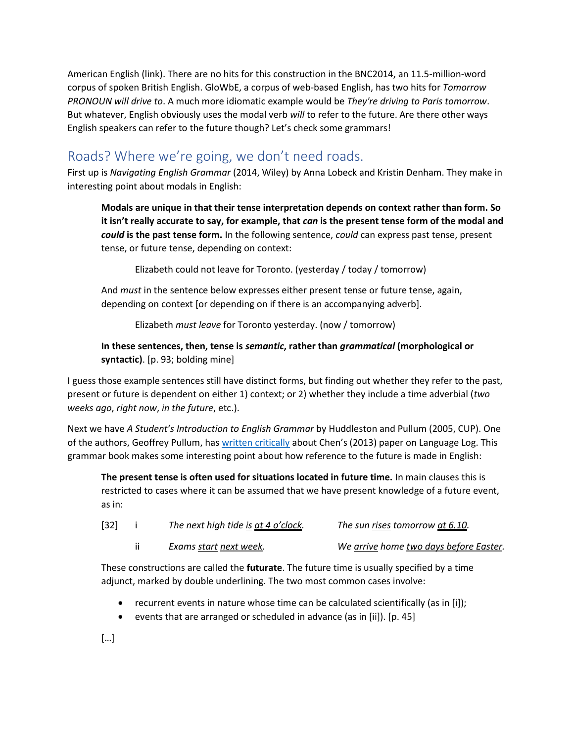American English (link). There are no hits for this construction in the BNC2014, an 11.5-million-word corpus of spoken British English. GloWbE, a corpus of web-based English, has two hits for *Tomorrow PRONOUN will drive to*. A much more idiomatic example would be *They're driving to Paris tomorrow*. But whatever, English obviously uses the modal verb *will* to refer to the future. Are there other ways English speakers can refer to the future though? Let's check some grammars!

## Roads? Where we're going, we don't need roads.

First up is *Navigating English Grammar* (2014, Wiley) by Anna Lobeck and Kristin Denham. They make in interesting point about modals in English:

**Modals are unique in that their tense interpretation depends on context rather than form. So it isn't really accurate to say, for example, that** *can* **is the present tense form of the modal and**  *could* **is the past tense form.** In the following sentence, *could* can express past tense, present tense, or future tense, depending on context:

Elizabeth could not leave for Toronto. (yesterday / today / tomorrow)

And *must* in the sentence below expresses either present tense or future tense, again, depending on context [or depending on if there is an accompanying adverb].

Elizabeth *must leave* for Toronto yesterday. (now / tomorrow)

#### **In these sentences, then, tense is** *semantic***, rather than** *grammatical* **(morphological or syntactic)**. [p. 93; bolding mine]

I guess those example sentences still have distinct forms, but finding out whether they refer to the past, present or future is dependent on either 1) context; or 2) whether they include a time adverbial (*two weeks ago*, *right now*, *in the future*, etc.).

Next we have *A Student's Introduction to English Grammar* by Huddleston and Pullum (2005, CUP). One of the authors, Geoffrey Pullum, ha[s written critically](http://languagelog.ldc.upenn.edu/nll/?p=3756) about Chen's (2013) paper on Language Log. This grammar book makes some interesting point about how reference to the future is made in English:

**The present tense is often used for situations located in future time.** In main clauses this is restricted to cases where it can be assumed that we have present knowledge of a future event, as in:

| $[32]$ | The next high tide is at 4 o'clock. | The sun rises tomorrow at 6.10.        |
|--------|-------------------------------------|----------------------------------------|
|        | Exams start next week.              | We arrive home two days before Easter. |

These constructions are called the **futurate**. The future time is usually specified by a time adjunct, marked by double underlining. The two most common cases involve:

- recurrent events in nature whose time can be calculated scientifically (as in [i]);
- events that are arranged or scheduled in advance (as in [ii]). [p. 45]

[…]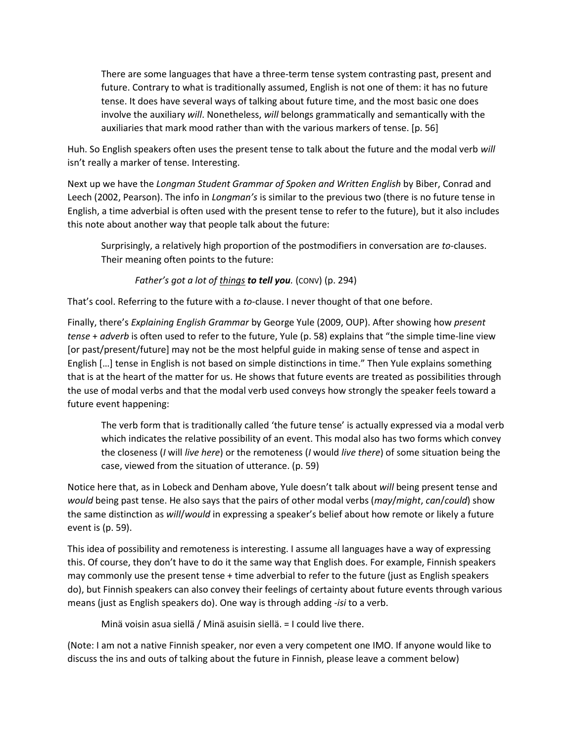There are some languages that have a three-term tense system contrasting past, present and future. Contrary to what is traditionally assumed, English is not one of them: it has no future tense. It does have several ways of talking about future time, and the most basic one does involve the auxiliary *will*. Nonetheless, *will* belongs grammatically and semantically with the auxiliaries that mark mood rather than with the various markers of tense. [p. 56]

Huh. So English speakers often uses the present tense to talk about the future and the modal verb *will* isn't really a marker of tense. Interesting.

Next up we have the *Longman Student Grammar of Spoken and Written English* by Biber, Conrad and Leech (2002, Pearson). The info in *Longman's* is similar to the previous two (there is no future tense in English, a time adverbial is often used with the present tense to refer to the future), but it also includes this note about another way that people talk about the future:

Surprisingly, a relatively high proportion of the postmodifiers in conversation are *to*-clauses. Their meaning often points to the future:

*Father's got a lot of things to tell you.* (CONV) (p. 294)

That's cool. Referring to the future with a *to*-clause. I never thought of that one before.

Finally, there's *Explaining English Grammar* by George Yule (2009, OUP). After showing how *present tense* + *adverb* is often used to refer to the future, Yule (p. 58) explains that "the simple time-line view [or past/present/future] may not be the most helpful guide in making sense of tense and aspect in English […] tense in English is not based on simple distinctions in time." Then Yule explains something that is at the heart of the matter for us. He shows that future events are treated as possibilities through the use of modal verbs and that the modal verb used conveys how strongly the speaker feels toward a future event happening:

The verb form that is traditionally called 'the future tense' is actually expressed via a modal verb which indicates the relative possibility of an event. This modal also has two forms which convey the closeness (*I* will *live here*) or the remoteness (*I* would *live there*) of some situation being the case, viewed from the situation of utterance. (p. 59)

Notice here that, as in Lobeck and Denham above, Yule doesn't talk about *will* being present tense and *would* being past tense. He also says that the pairs of other modal verbs (*may*/*might*, *can*/*could*) show the same distinction as *will*/*would* in expressing a speaker's belief about how remote or likely a future event is (p. 59).

This idea of possibility and remoteness is interesting. I assume all languages have a way of expressing this. Of course, they don't have to do it the same way that English does. For example, Finnish speakers may commonly use the present tense + time adverbial to refer to the future (just as English speakers do), but Finnish speakers can also convey their feelings of certainty about future events through various means (just as English speakers do). One way is through adding -*isi* to a verb.

Minä voisin asua siellä / Minä asuisin siellä. = I could live there.

(Note: I am not a native Finnish speaker, nor even a very competent one IMO. If anyone would like to discuss the ins and outs of talking about the future in Finnish, please leave a comment below)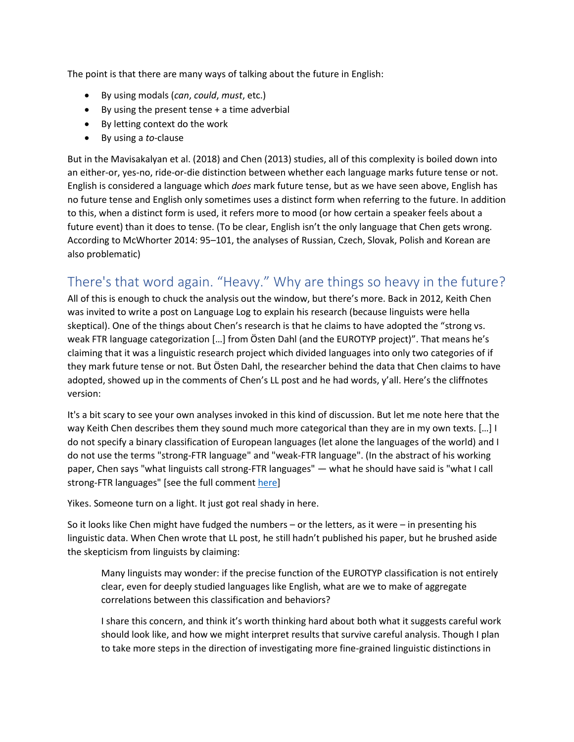The point is that there are many ways of talking about the future in English:

- By using modals (*can*, *could*, *must*, etc.)
- By using the present tense + a time adverbial
- By letting context do the work
- By using a *to*-clause

But in the Mavisakalyan et al. (2018) and Chen (2013) studies, all of this complexity is boiled down into an either-or, yes-no, ride-or-die distinction between whether each language marks future tense or not. English is considered a language which *does* mark future tense, but as we have seen above, English has no future tense and English only sometimes uses a distinct form when referring to the future. In addition to this, when a distinct form is used, it refers more to mood (or how certain a speaker feels about a future event) than it does to tense. (To be clear, English isn't the only language that Chen gets wrong. According to McWhorter 2014: 95–101, the analyses of Russian, Czech, Slovak, Polish and Korean are also problematic)

# There's that word again. "Heavy." Why are things so heavy in the future?

All of this is enough to chuck the analysis out the window, but there's more. Back in 2012, Keith Chen was invited to write a post on Language Log to explain his research (because linguists were hella skeptical). One of the things about Chen's research is that he claims to have adopted the "strong vs. weak FTR language categorization […] from Östen Dahl (and the EUROTYP project)". That means he's claiming that it was a linguistic research project which divided languages into only two categories of if they mark future tense or not. But Östen Dahl, the researcher behind the data that Chen claims to have adopted, showed up in the comments of Chen's LL post and he had words, y'all. Here's the cliffnotes version:

It's a bit scary to see your own analyses invoked in this kind of discussion. But let me note here that the way Keith Chen describes them they sound much more categorical than they are in my own texts. […] I do not specify a binary classification of European languages (let alone the languages of the world) and I do not use the terms "strong-FTR language" and "weak-FTR language". (In the abstract of his working paper, Chen says "what linguists call strong-FTR languages" — what he should have said is "what I call strong-FTR languages" [see the full comment [here\]](http://languagelog.ldc.upenn.edu/nll/?p=3792#comment-173154)

Yikes. Someone turn on a light. It just got real shady in here.

So it looks like Chen might have fudged the numbers – or the letters, as it were – in presenting his linguistic data. When Chen wrote that LL post, he still hadn't published his paper, but he brushed aside the skepticism from linguists by claiming:

Many linguists may wonder: if the precise function of the EUROTYP classification is not entirely clear, even for deeply studied languages like English, what are we to make of aggregate correlations between this classification and behaviors?

I share this concern, and think it's worth thinking hard about both what it suggests careful work should look like, and how we might interpret results that survive careful analysis. Though I plan to take more steps in the direction of investigating more fine-grained linguistic distinctions in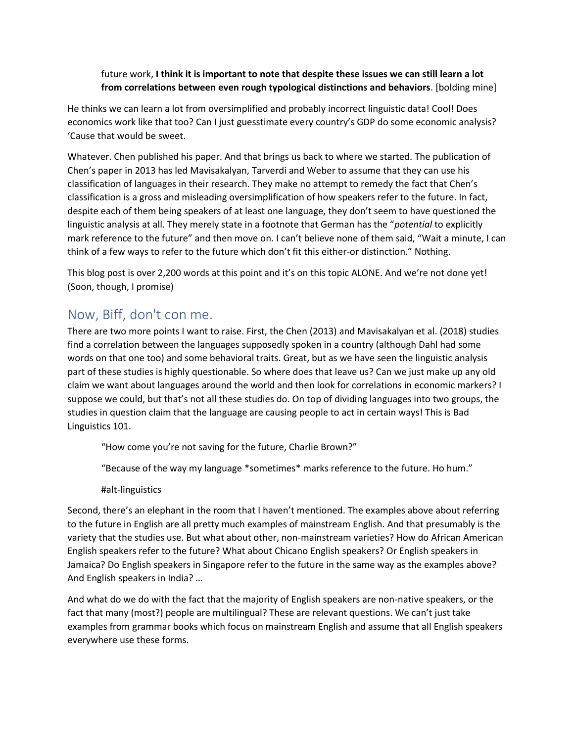#### future work, **I think it is important to note that despite these issues we can still learn a lot from correlations between even rough typological distinctions and behaviors**. [bolding mine]

He thinks we can learn a lot from oversimplified and probably incorrect linguistic data! Cool! Does economics work like that too? Can I just guesstimate every country's GDP do some economic analysis? 'Cause that would be sweet.

Whatever. Chen published his paper. And that brings us back to where we started. The publication of Chen's paper in 2013 has led Mavisakalyan, Tarverdi and Weber to assume that they can use his classification of languages in their research. They make no attempt to remedy the fact that Chen's classification is a gross and misleading oversimplification of how speakers refer to the future. In fact, despite each of them being speakers of at least one language, they don't seem to have questioned the linguistic analysis at all. They merely state in a footnote that German has the "*potential* to explicitly mark reference to the future" and then move on. I can't believe none of them said, "Wait a minute, I can think of a few ways to refer to the future which don't fit this either-or distinction." Nothing.

This blog post is over 2,200 words at this point and it's on this topic ALONE. And we're not done yet! (Soon, though, I promise)

## Now, Biff, don't con me.

There are two more points I want to raise. First, the Chen (2013) and Mavisakalyan et al. (2018) studies find a correlation between the languages supposedly spoken in a country (although Dahl had some words on that one too) and some behavioral traits. Great, but as we have seen the linguistic analysis part of these studies is highly questionable. So where does that leave us? Can we just make up any old claim we want about languages around the world and then look for correlations in economic markers? I suppose we could, but that's not all these studies do. On top of dividing languages into two groups, the studies in question claim that the language are causing people to act in certain ways! This is Bad Linguistics 101.

"How come you're not saving for the future, Charlie Brown?"

"Because of the way my language \*sometimes\* marks reference to the future. Ho hum."

#alt-linguistics

Second, there's an elephant in the room that I haven't mentioned. The examples above about referring to the future in English are all pretty much examples of mainstream English. And that presumably is the variety that the studies use. But what about other, non-mainstream varieties? How do African American English speakers refer to the future? What about Chicano English speakers? Or English speakers in Jamaica? Do English speakers in Singapore refer to the future in the same way as the examples above? And English speakers in India? …

And what do we do with the fact that the majority of English speakers are non-native speakers, or the fact that many (most?) people are multilingual? These are relevant questions. We can't just take examples from grammar books which focus on mainstream English and assume that all English speakers everywhere use these forms.